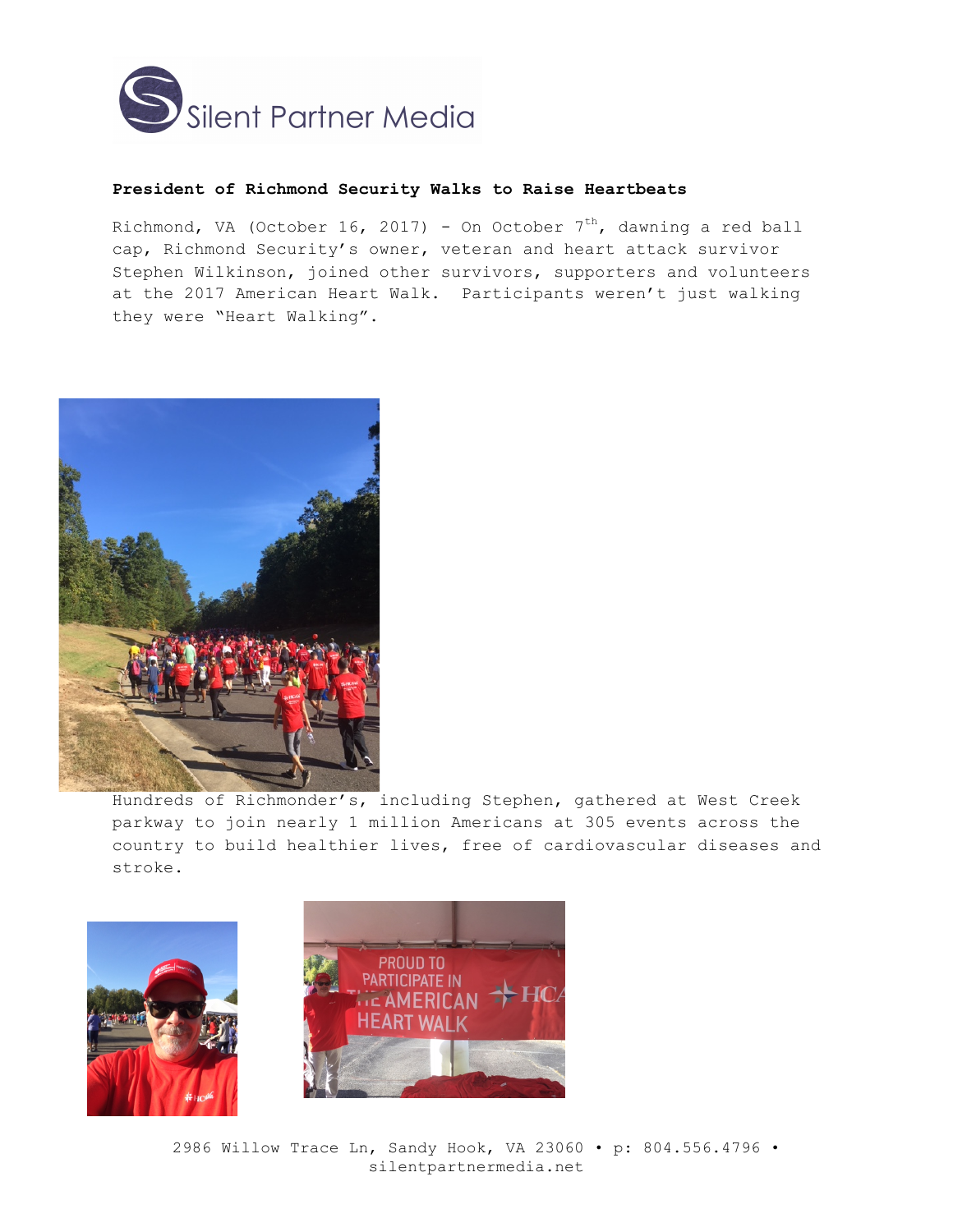

## **President of Richmond Security Walks to Raise Heartbeats**

Richmond, VA (October 16, 2017) - On October 7<sup>th</sup>, dawning a red ball cap, Richmond Security's owner, veteran and heart attack survivor Stephen Wilkinson, joined other survivors, supporters and volunteers at the 2017 American Heart Walk. Participants weren't just walking they were "Heart Walking".



Hundreds of Richmonder's, including Stephen, gathered at West Creek parkway to join nearly 1 million Americans at 305 events across the country to build healthier lives, free of cardiovascular diseases and stroke.





2986 Willow Trace Ln, Sandy Hook, VA 23060 • p: 804.556.4796 • silentpartnermedia.net